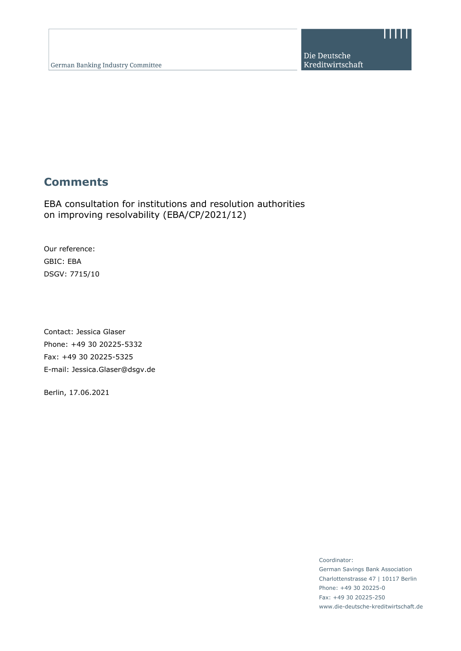. . . . .

# **Comments**

EBA consultation for institutions and resolution authorities on improving resolvability (EBA/CP/2021/12)

Our reference: GBIC: EBA DSGV: 7715/10

Contact: Jessica Glaser Phone: +49 30 20225-5332 Fax: +49 30 20225-5325 E-mail: Jessica.Glaser@dsgv.de

Berlin, 17.06.2021

Coordinator: German Savings Bank Association Charlottenstrasse 47 | 10117 Berlin Phone: +49 30 20225-0 Fax: +49 30 20225-250 www.die-deutsche-kreditwirtschaft.de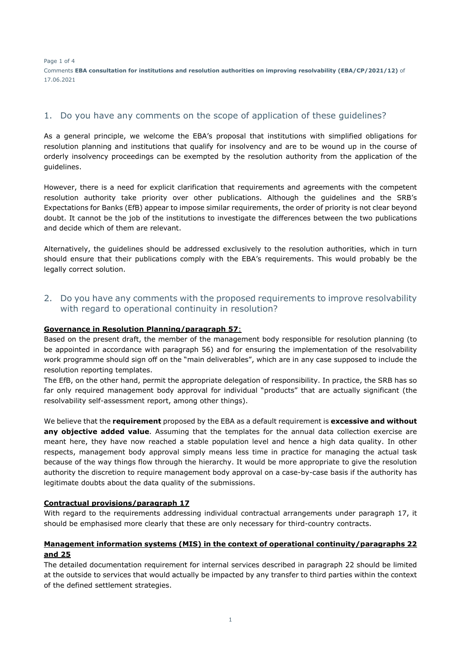Page 1 of 4 Comments **EBA consultation for institutions and resolution authorities on improving resolvability (EBA/CP/2021/12)** of 17.06.2021

# 1. Do you have any comments on the scope of application of these guidelines?

As a general principle, we welcome the EBA's proposal that institutions with simplified obligations for resolution planning and institutions that qualify for insolvency and are to be wound up in the course of orderly insolvency proceedings can be exempted by the resolution authority from the application of the guidelines.

However, there is a need for explicit clarification that requirements and agreements with the competent resolution authority take priority over other publications. Although the guidelines and the SRB's Expectations for Banks (EfB) appear to impose similar requirements, the order of priority is not clear beyond doubt. It cannot be the job of the institutions to investigate the differences between the two publications and decide which of them are relevant.

Alternatively, the guidelines should be addressed exclusively to the resolution authorities, which in turn should ensure that their publications comply with the EBA's requirements. This would probably be the legally correct solution.

2. Do you have any comments with the proposed requirements to improve resolvability with regard to operational continuity in resolution?

## **Governance in Resolution Planning/paragraph 57**:

Based on the present draft, the member of the management body responsible for resolution planning (to be appointed in accordance with paragraph 56) and for ensuring the implementation of the resolvability work programme should sign off on the "main deliverables", which are in any case supposed to include the resolution reporting templates.

The EfB, on the other hand, permit the appropriate delegation of responsibility. In practice, the SRB has so far only required management body approval for individual "products" that are actually significant (the resolvability self-assessment report, among other things).

We believe that the **requirement** proposed by the EBA as a default requirement is **excessive and without any objective added value**. Assuming that the templates for the annual data collection exercise are meant here, they have now reached a stable population level and hence a high data quality. In other respects, management body approval simply means less time in practice for managing the actual task because of the way things flow through the hierarchy. It would be more appropriate to give the resolution authority the discretion to require management body approval on a case-by-case basis if the authority has legitimate doubts about the data quality of the submissions.

## **Contractual provisions/paragraph 17**

With regard to the requirements addressing individual contractual arrangements under paragraph 17, it should be emphasised more clearly that these are only necessary for third-country contracts.

# **Management information systems (MIS) in the context of operational continuity/paragraphs 22 and 25**

The detailed documentation requirement for internal services described in paragraph 22 should be limited at the outside to services that would actually be impacted by any transfer to third parties within the context of the defined settlement strategies.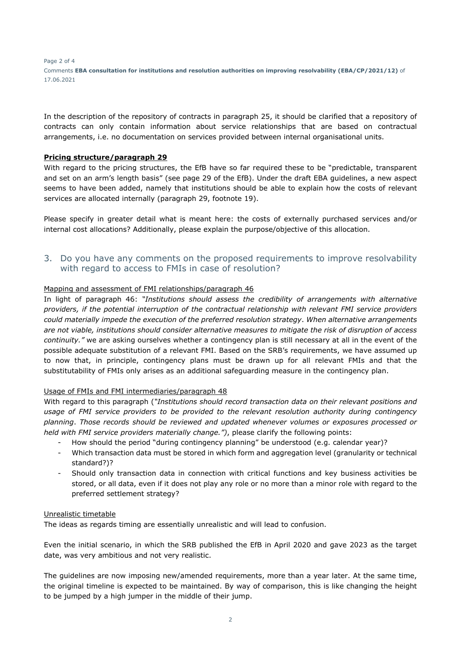Page 2 of 4 Comments **EBA consultation for institutions and resolution authorities on improving resolvability (EBA/CP/2021/12)** of 17.06.2021

In the description of the repository of contracts in paragraph 25, it should be clarified that a repository of contracts can only contain information about service relationships that are based on contractual arrangements, i.e. no documentation on services provided between internal organisational units.

## **Pricing structure/paragraph 29**

With regard to the pricing structures, the EfB have so far required these to be "predictable, transparent and set on an arm's length basis" (see page 29 of the EfB). Under the draft EBA guidelines, a new aspect seems to have been added, namely that institutions should be able to explain how the costs of relevant services are allocated internally (paragraph 29, footnote 19).

Please specify in greater detail what is meant here: the costs of externally purchased services and/or internal cost allocations? Additionally, please explain the purpose/objective of this allocation.

# 3. Do you have any comments on the proposed requirements to improve resolvability with regard to access to FMIs in case of resolution?

# Mapping and assessment of FMI relationships/paragraph 46

In light of paragraph 46: *"Institutions should assess the credibility of arrangements with alternative providers, if the potential interruption of the contractual relationship with relevant FMI service providers could materially impede the execution of the preferred resolution strategy*. *When alternative arrangements are not viable, institutions should consider alternative measures to mitigate the risk of disruption of access continuity."* we are asking ourselves whether a contingency plan is still necessary at all in the event of the possible adequate substitution of a relevant FMI. Based on the SRB's requirements, we have assumed up to now that, in principle, contingency plans must be drawn up for all relevant FMIs and that the substitutability of FMIs only arises as an additional safeguarding measure in the contingency plan.

## Usage of FMIs and FMI intermediaries/paragraph 48

With regard to this paragraph (*"Institutions should record transaction data on their relevant positions and usage of FMI service providers to be provided to the relevant resolution authority during contingency planning*. *Those records should be reviewed and updated whenever volumes or exposures processed or held with FMI service providers materially change.")*, please clarify the following points:

- How should the period "during contingency planning" be understood (e.g. calendar year)?
- Which transaction data must be stored in which form and aggregation level (granularity or technical standard?)?
- Should only transaction data in connection with critical functions and key business activities be stored, or all data, even if it does not play any role or no more than a minor role with regard to the preferred settlement strategy?

## Unrealistic timetable

The ideas as regards timing are essentially unrealistic and will lead to confusion.

Even the initial scenario, in which the SRB published the EfB in April 2020 and gave 2023 as the target date, was very ambitious and not very realistic.

The guidelines are now imposing new/amended requirements, more than a year later. At the same time, the original timeline is expected to be maintained. By way of comparison, this is like changing the height to be jumped by a high jumper in the middle of their jump.